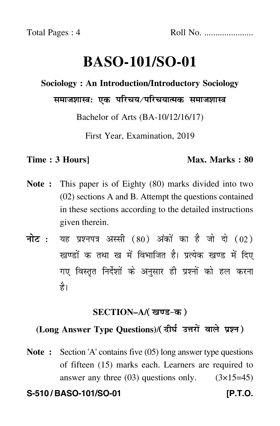# **BASO-101/SO-01**

### **Sociology : An Introduction/Introductory Sociology**

## समाजशास्त्रः एक परिचय ∕परिचयात्मक समाजशास्त्र

Bachelor of Arts (BA-10/12/16/17)

First Year, Examination, 2019

#### **Time : 3 Hours]** Max. Marks : 80

- **Note :** This paper is of Eighty (80) marks divided into two (02) sections A and B. Attempt the questions contained in these sections according to the detailed instructions given therein.
- नोट : यह प्रश्नपत्र अस्सी (80) अंकों का है जो दो (02) खण्डों क तथा ख में विभाजित है। प्रत्येक खण्ड में दिए गए विस्तृत निर्देशों के अनुसार ही प्रश्नों को हल करन<mark>ा</mark> है।

#### **SECTION–A/**

## (Long Answer Type Questions)/(दीर्घ उत्तरों वाले प्रश्न)

**Note :** Section 'A' contains five (05) long answer type questions of fifteen (15) marks each. Learners are required to answer any three  $(03)$  questions only.  $(3\times15=45)$ 

#### **S-510 / BASO-101/SO-01 [P.T.O.**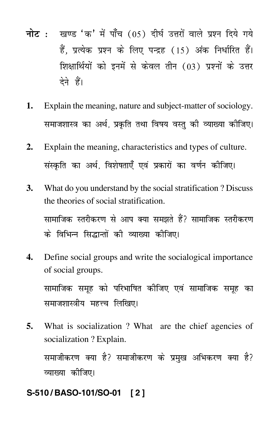- नोट : खण्ड 'क' में पाँच (05) दीर्घ उत्तरों वाले प्रश्न दिये गये हैं. प्रत्येक प्रश्न के लिए पन्द्रह (15) अंक निर्धारित हैं। शिक्षार्थियों को इनमें से केवल तीन (03) प्रश्नों के उत्तर देने हैं।
- Explain the meaning, nature and subject-matter of sociology. 1. समाजशास्त्र का अर्थ, प्रकृति तथा विषय वस्तु की व्याख्या कीजिए।
- Explain the meaning, characteristics and types of culture.  $2.$ संस्कृति का अर्थ. विशेषताएँ एवं प्रकारों का वर्णन कीजिए।
- 3. What do you understand by the social stratification? Discuss the theories of social stratification. सामाजिक स्तरीकरण से आप क्या समझते हैं? सामाजिक स्तरीकरण के विभिन्न सिद्धान्तों की व्याख्या कीजिए।
- Define social groups and write the socialogical importance  $\Delta$ . of social groups.

सामाजिक समूह को परिभाषित कीजिए एवं सामाजिक समूह का समाजशास्त्रीय महत्त्व लिखिए।

What is socialization ? What are the chief agencies of 5. socialization ? Explain.

समाजीकरण क्या है? समाजीकरण के प्रमुख अभिकरण क्या है? व्याख्या कीजिए।

#### S-510/BASO-101/SO-01 [2]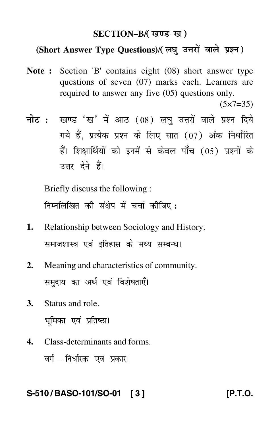#### **SECTION–B/**

## (Short Answer Type Questions)/( लघ उत्तरों वाले प्रश्न)

**Note :** Section 'B' contains eight (08) short answer type questions of seven (07) marks each. Learners are required to answer any five (05) questions only.

 $(5 \times 7 = 35)$ 

<mark>नोट</mark> : खण्ड 'ख' में आठ (08) लघु उत्तरों वाले प्रश्न दिये गये हैं, प्रत्येक प्रश्न के लिए सात (07) अंक निर्धारित हैं। शिक्षार्थियों को इनमें से केवल पाँच (05) प्रश्नों के उत्तर देने हैं।

Briefly discuss the following : निम्नलिखित की संक्षेप में चर्चा कीजिए :

- **1.** Relationship between Sociology and History. समाजशास्त्र एवं इतिहास के मध्य सम्बन्ध।
- **2.** Meaning and characteristics of community. समुदाय का अर्थ एवं विशेषताएँ।
- **3.** Status and role. भूमिका एवं प्रतिष्ठा।
- **4.** Class-determinants and forms. वर्ग – निर्धारक एवं प्रकार।

#### **S-510 / BASO-101/SO-01 [ 3 ] [P.T.O.**